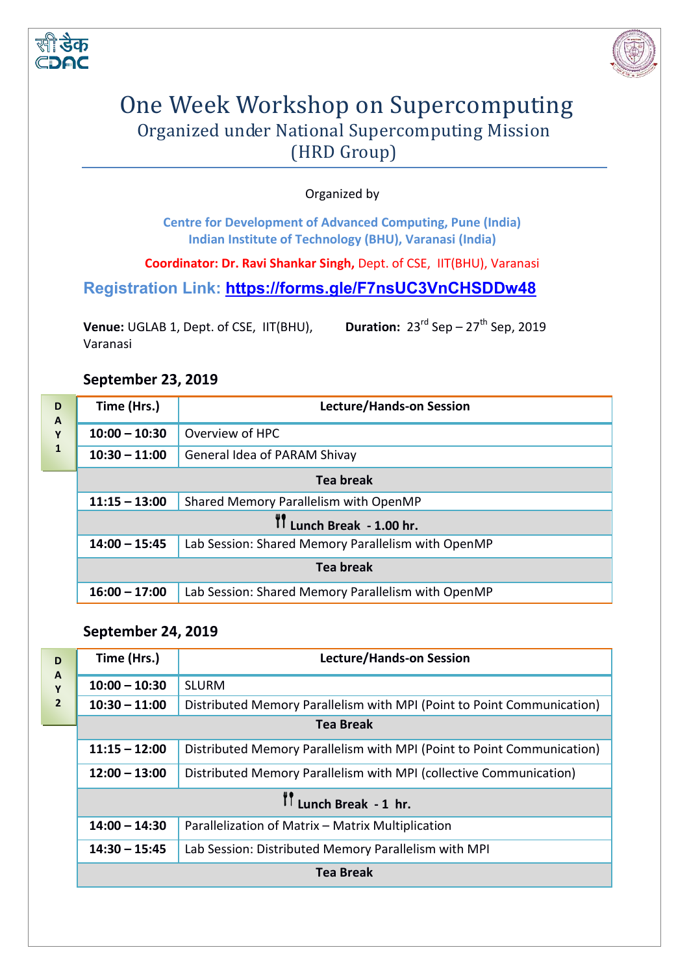



# One Week Workshop on Supercomputing Organized under National Supercomputing Mission (HRD Group)

Organized by

**Centre for Development of Advanced Computing, Pune (India) Indian Institute of Technology (BHU), Varanasi (India)** 

**Coordinator: Dr. Ravi Shankar Singh,** Dept. of CSE, IIT(BHU), Varanasi

**Registration Link:<https://forms.gle/F7nsUC3VnCHSDDw48>**

**Venue:** UGLAB 1, Dept. of CSE, IIT(BHU), Varanasi **Duration:**  $23^{rd}$  Sep –  $27^{th}$  Sep, 2019

#### **September 23, 2019**

| D<br>$\mathbf{A}$<br>Y<br>$\mathbf{1}$ | Time (Hrs.)               | <b>Lecture/Hands-on Session</b>                    |  |
|----------------------------------------|---------------------------|----------------------------------------------------|--|
|                                        | $10:00 - 10:30$           | Overview of HPC                                    |  |
|                                        | $10:30 - 11:00$           | <b>General Idea of PARAM Shivay</b>                |  |
|                                        | <b>Tea break</b>          |                                                    |  |
|                                        | $11:15 - 13:00$           | Shared Memory Parallelism with OpenMP              |  |
|                                        | IT Lunch Break - 1.00 hr. |                                                    |  |
|                                        | $14:00 - 15:45$           | Lab Session: Shared Memory Parallelism with OpenMP |  |
|                                        | <b>Tea break</b>          |                                                    |  |
|                                        | $16:00 - 17:00$           | Lab Session: Shared Memory Parallelism with OpenMP |  |

#### **September 24, 2019**

| Time (Hrs.)                           | <b>Lecture/Hands-on Session</b>                                        |  |
|---------------------------------------|------------------------------------------------------------------------|--|
| $10:00 - 10:30$                       | <b>SLURM</b>                                                           |  |
| $10:30 - 11:00$                       | Distributed Memory Parallelism with MPI (Point to Point Communication) |  |
| <b>Tea Break</b>                      |                                                                        |  |
| $11:15 - 12:00$                       | Distributed Memory Parallelism with MPI (Point to Point Communication) |  |
| $12:00 - 13:00$                       | Distributed Memory Parallelism with MPI (collective Communication)     |  |
| $\prod_{i=1}^{n}$ Lunch Break - 1 hr. |                                                                        |  |
| $14:00 - 14:30$                       | Parallelization of Matrix - Matrix Multiplication                      |  |
| $14:30 - 15:45$                       | Lab Session: Distributed Memory Parallelism with MPI                   |  |
|                                       | Tea Break                                                              |  |
|                                       |                                                                        |  |